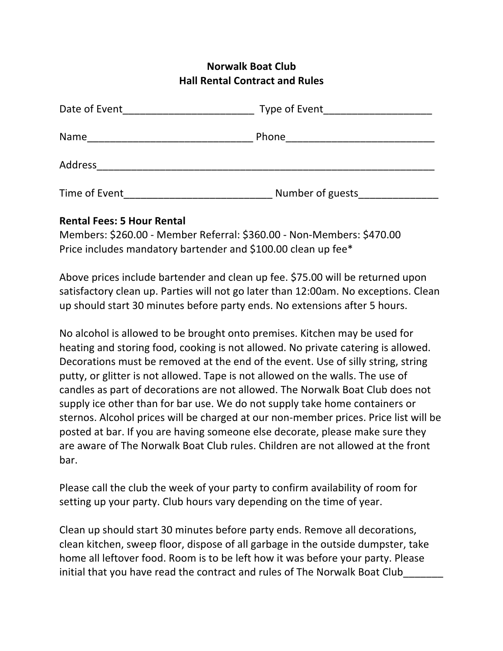## **Norwalk Boat Club Hall Rental Contract and Rules**

| Date of Event | Type of Event    |  |
|---------------|------------------|--|
| Name          | Phone            |  |
| Address       |                  |  |
| Time of Event | Number of guests |  |

## **Rental Fees: 5 Hour Rental**

Members: \$260.00 - Member Referral: \$360.00 - Non-Members: \$470.00 Price includes mandatory bartender and \$100.00 clean up fee $*$ 

Above prices include bartender and clean up fee. \$75.00 will be returned upon satisfactory clean up. Parties will not go later than 12:00am. No exceptions. Clean up should start 30 minutes before party ends. No extensions after 5 hours.

No alcohol is allowed to be brought onto premises. Kitchen may be used for heating and storing food, cooking is not allowed. No private catering is allowed. Decorations must be removed at the end of the event. Use of silly string, string putty, or glitter is not allowed. Tape is not allowed on the walls. The use of candles as part of decorations are not allowed. The Norwalk Boat Club does not supply ice other than for bar use. We do not supply take home containers or sternos. Alcohol prices will be charged at our non-member prices. Price list will be posted at bar. If you are having someone else decorate, please make sure they are aware of The Norwalk Boat Club rules. Children are not allowed at the front bar. 

Please call the club the week of your party to confirm availability of room for setting up your party. Club hours vary depending on the time of year.

Clean up should start 30 minutes before party ends. Remove all decorations, clean kitchen, sweep floor, dispose of all garbage in the outside dumpster, take home all leftover food. Room is to be left how it was before your party. Please initial that you have read the contract and rules of The Norwalk Boat Club